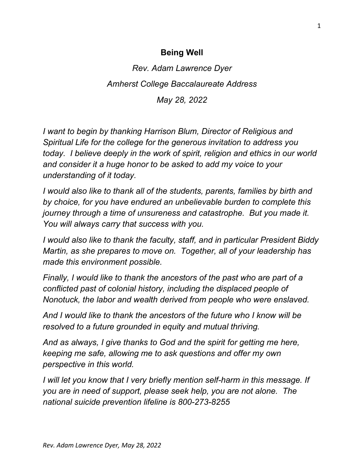## **Being Well**

*Rev. Adam Lawrence Dyer Amherst College Baccalaureate Address May 28, 2022*

*I want to begin by thanking Harrison Blum, Director of Religious and Spiritual Life for the college for the generous invitation to address you today. I believe deeply in the work of spirit, religion and ethics in our world and consider it a huge honor to be asked to add my voice to your understanding of it today.*

*I would also like to thank all of the students, parents, families by birth and by choice, for you have endured an unbelievable burden to complete this journey through a time of unsureness and catastrophe. But you made it. You will always carry that success with you.*

*I would also like to thank the faculty, staff, and in particular President Biddy Martin, as she prepares to move on. Together, all of your leadership has made this environment possible.*

*Finally, I would like to thank the ancestors of the past who are part of a conflicted past of colonial history, including the displaced people of Nonotuck, the labor and wealth derived from people who were enslaved.*

*And I would like to thank the ancestors of the future who I know will be resolved to a future grounded in equity and mutual thriving.*

*And as always, I give thanks to God and the spirit for getting me here, keeping me safe, allowing me to ask questions and offer my own perspective in this world.*

*I will let you know that I very briefly mention self-harm in this message. If you are in need of support, please seek help, you are not alone. The national suicide prevention lifeline is 800-273-8255*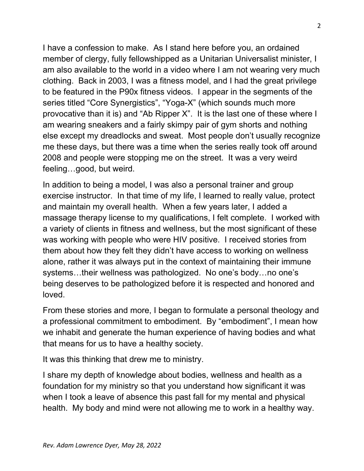I have a confession to make. As I stand here before you, an ordained member of clergy, fully fellowshipped as a Unitarian Universalist minister, I am also available to the world in a video where I am not wearing very much clothing. Back in 2003, I was a fitness model, and I had the great privilege to be featured in the P90x fitness videos. I appear in the segments of the series titled "Core Synergistics", "Yoga-X" (which sounds much more provocative than it is) and "Ab Ripper X". It is the last one of these where I am wearing sneakers and a fairly skimpy pair of gym shorts and nothing else except my dreadlocks and sweat. Most people don't usually recognize me these days, but there was a time when the series really took off around 2008 and people were stopping me on the street. It was a very weird feeling…good, but weird.

In addition to being a model, I was also a personal trainer and group exercise instructor. In that time of my life, I learned to really value, protect and maintain my overall health. When a few years later, I added a massage therapy license to my qualifications, I felt complete. I worked with a variety of clients in fitness and wellness, but the most significant of these was working with people who were HIV positive. I received stories from them about how they felt they didn't have access to working on wellness alone, rather it was always put in the context of maintaining their immune systems…their wellness was pathologized. No one's body…no one's being deserves to be pathologized before it is respected and honored and loved.

From these stories and more, I began to formulate a personal theology and a professional commitment to embodiment. By "embodiment", I mean how we inhabit and generate the human experience of having bodies and what that means for us to have a healthy society.

It was this thinking that drew me to ministry.

I share my depth of knowledge about bodies, wellness and health as a foundation for my ministry so that you understand how significant it was when I took a leave of absence this past fall for my mental and physical health. My body and mind were not allowing me to work in a healthy way.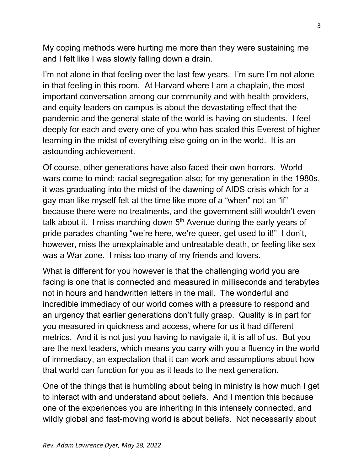My coping methods were hurting me more than they were sustaining me and I felt like I was slowly falling down a drain.

I'm not alone in that feeling over the last few years. I'm sure I'm not alone in that feeling in this room. At Harvard where I am a chaplain, the most important conversation among our community and with health providers, and equity leaders on campus is about the devastating effect that the pandemic and the general state of the world is having on students. I feel deeply for each and every one of you who has scaled this Everest of higher learning in the midst of everything else going on in the world. It is an astounding achievement.

Of course, other generations have also faced their own horrors. World wars come to mind; racial segregation also; for my generation in the 1980s, it was graduating into the midst of the dawning of AIDS crisis which for a gay man like myself felt at the time like more of a "when" not an "if" because there were no treatments, and the government still wouldn't even talk about it. I miss marching down  $5<sup>th</sup>$  Avenue during the early years of pride parades chanting "we're here, we're queer, get used to it!" I don't, however, miss the unexplainable and untreatable death, or feeling like sex was a War zone. I miss too many of my friends and lovers.

What is different for you however is that the challenging world you are facing is one that is connected and measured in milliseconds and terabytes not in hours and handwritten letters in the mail. The wonderful and incredible immediacy of our world comes with a pressure to respond and an urgency that earlier generations don't fully grasp. Quality is in part for you measured in quickness and access, where for us it had different metrics. And it is not just you having to navigate it, it is all of us. But you are the next leaders, which means you carry with you a fluency in the world of immediacy, an expectation that it can work and assumptions about how that world can function for you as it leads to the next generation.

One of the things that is humbling about being in ministry is how much I get to interact with and understand about beliefs. And I mention this because one of the experiences you are inheriting in this intensely connected, and wildly global and fast-moving world is about beliefs. Not necessarily about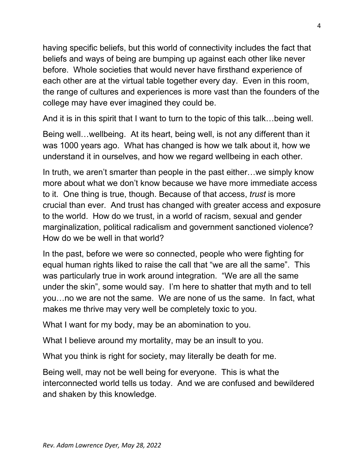having specific beliefs, but this world of connectivity includes the fact that beliefs and ways of being are bumping up against each other like never before. Whole societies that would never have firsthand experience of each other are at the virtual table together every day. Even in this room, the range of cultures and experiences is more vast than the founders of the college may have ever imagined they could be.

And it is in this spirit that I want to turn to the topic of this talk…being well.

Being well…wellbeing. At its heart, being well, is not any different than it was 1000 years ago. What has changed is how we talk about it, how we understand it in ourselves, and how we regard wellbeing in each other.

In truth, we aren't smarter than people in the past either…we simply know more about what we don't know because we have more immediate access to it. One thing is true, though. Because of that access, *trust* is more crucial than ever. And trust has changed with greater access and exposure to the world. How do we trust, in a world of racism, sexual and gender marginalization, political radicalism and government sanctioned violence? How do we be well in that world?

In the past, before we were so connected, people who were fighting for equal human rights liked to raise the call that "we are all the same". This was particularly true in work around integration. "We are all the same under the skin", some would say. I'm here to shatter that myth and to tell you…no we are not the same. We are none of us the same. In fact, what makes me thrive may very well be completely toxic to you.

What I want for my body, may be an abomination to you.

What I believe around my mortality, may be an insult to you.

What you think is right for society, may literally be death for me.

Being well, may not be well being for everyone. This is what the interconnected world tells us today. And we are confused and bewildered and shaken by this knowledge.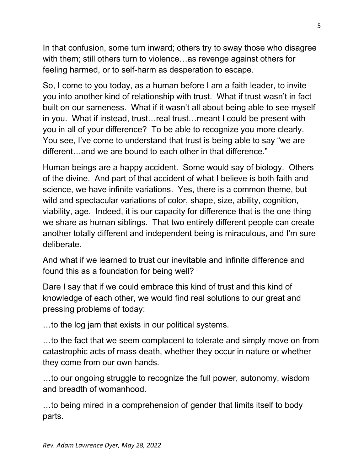In that confusion, some turn inward; others try to sway those who disagree with them; still others turn to violence…as revenge against others for feeling harmed, or to self-harm as desperation to escape.

So, I come to you today, as a human before I am a faith leader, to invite you into another kind of relationship with trust. What if trust wasn't in fact built on our sameness. What if it wasn't all about being able to see myself in you. What if instead, trust…real trust…meant I could be present with you in all of your difference? To be able to recognize you more clearly. You see, I've come to understand that trust is being able to say "we are different…and we are bound to each other in that difference."

Human beings are a happy accident. Some would say of biology. Others of the divine. And part of that accident of what I believe is both faith and science, we have infinite variations. Yes, there is a common theme, but wild and spectacular variations of color, shape, size, ability, cognition, viability, age. Indeed, it is our capacity for difference that is the one thing we share as human siblings. That two entirely different people can create another totally different and independent being is miraculous, and I'm sure deliberate.

And what if we learned to trust our inevitable and infinite difference and found this as a foundation for being well?

Dare I say that if we could embrace this kind of trust and this kind of knowledge of each other, we would find real solutions to our great and pressing problems of today:

…to the log jam that exists in our political systems.

…to the fact that we seem complacent to tolerate and simply move on from catastrophic acts of mass death, whether they occur in nature or whether they come from our own hands.

…to our ongoing struggle to recognize the full power, autonomy, wisdom and breadth of womanhood.

…to being mired in a comprehension of gender that limits itself to body parts.